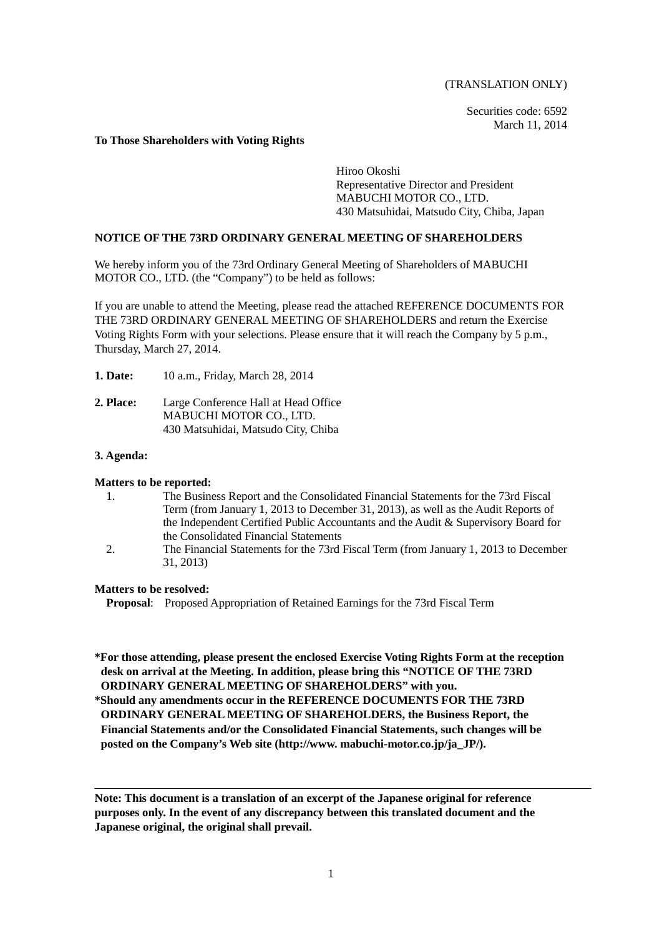(TRANSLATION ONLY)

Securities code: 6592 March 11, 2014

### **To Those Shareholders with Voting Rights**

Hiroo Okoshi Representative Director and President MABUCHI MOTOR CO., LTD. 430 Matsuhidai, Matsudo City, Chiba, Japan

## **NOTICE OF THE 73RD ORDINARY GENERAL MEETING OF SHAREHOLDERS**

We hereby inform you of the 73rd Ordinary General Meeting of Shareholders of MABUCHI MOTOR CO., LTD. (the "Company") to be held as follows:

If you are unable to attend the Meeting, please read the attached REFERENCE DOCUMENTS FOR THE 73RD ORDINARY GENERAL MEETING OF SHAREHOLDERS and return the Exercise Voting Rights Form with your selections. Please ensure that it will reach the Company by 5 p.m., Thursday, March 27, 2014.

- **1. Date:** 10 a.m., Friday, March 28, 2014
- **2. Place:** Large Conference Hall at Head Office MABUCHI MOTOR CO., LTD. 430 Matsuhidai, Matsudo City, Chiba

### **3. Agenda:**

### **Matters to be reported:**

- 1. The Business Report and the Consolidated Financial Statements for the 73rd Fiscal Term (from January 1, 2013 to December 31, 2013), as well as the Audit Reports of the Independent Certified Public Accountants and the Audit & Supervisory Board for the Consolidated Financial Statements
- 2. The Financial Statements for the 73rd Fiscal Term (from January 1, 2013 to December 31, 2013)

### **Matters to be resolved:**

**Proposal**: Proposed Appropriation of Retained Earnings for the 73rd Fiscal Term

**\*For those attending, please present the enclosed Exercise Voting Rights Form at the reception desk on arrival at the Meeting. In addition, please bring this "NOTICE OF THE 73RD ORDINARY GENERAL MEETING OF SHAREHOLDERS" with you.**

**\*Should any amendments occur in the REFERENCE DOCUMENTS FOR THE 73RD ORDINARY GENERAL MEETING OF SHAREHOLDERS, the Business Report, the Financial Statements and/or the Consolidated Financial Statements, such changes will be posted on the Company's Web site (http://www. mabuchi-motor.co.jp/ja\_JP/).**

**Note: This document is a translation of an excerpt of the Japanese original for reference purposes only. In the event of any discrepancy between this translated document and the Japanese original, the original shall prevail.**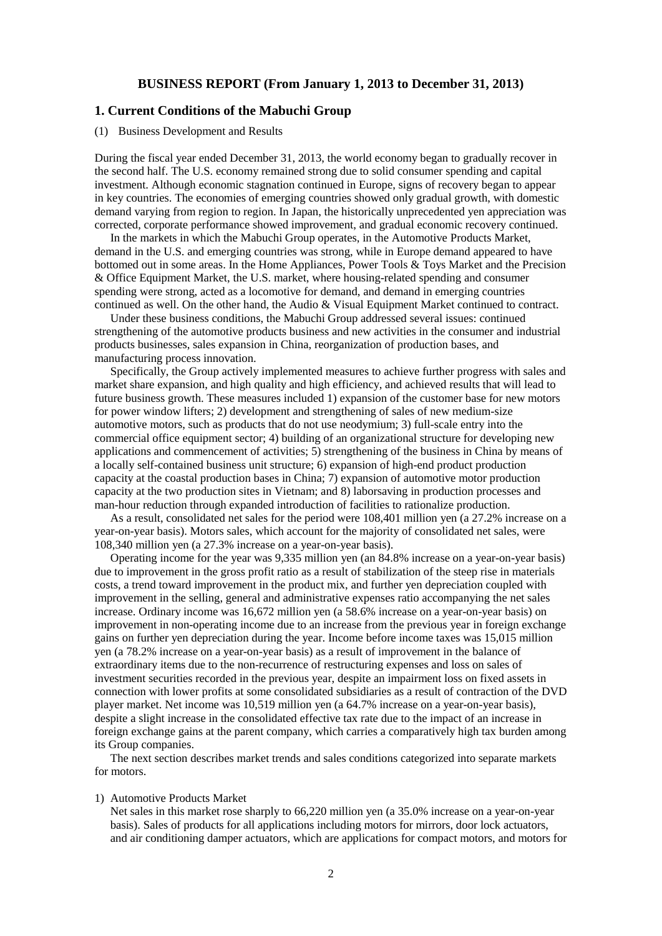## **BUSINESS REPORT (From January 1, 2013 to December 31, 2013)**

# **1. Current Conditions of the Mabuchi Group**

### (1) Business Development and Results

During the fiscal year ended December 31, 2013, the world economy began to gradually recover in the second half. The U.S. economy remained strong due to solid consumer spending and capital investment. Although economic stagnation continued in Europe, signs of recovery began to appear in key countries. The economies of emerging countries showed only gradual growth, with domestic demand varying from region to region. In Japan, the historically unprecedented yen appreciation was corrected, corporate performance showed improvement, and gradual economic recovery continued.

In the markets in which the Mabuchi Group operates, in the Automotive Products Market, demand in the U.S. and emerging countries was strong, while in Europe demand appeared to have bottomed out in some areas. In the Home Appliances, Power Tools & Toys Market and the Precision & Office Equipment Market, the U.S. market, where housing-related spending and consumer spending were strong, acted as a locomotive for demand, and demand in emerging countries continued as well. On the other hand, the Audio & Visual Equipment Market continued to contract.

Under these business conditions, the Mabuchi Group addressed several issues: continued strengthening of the automotive products business and new activities in the consumer and industrial products businesses, sales expansion in China, reorganization of production bases, and manufacturing process innovation.

Specifically, the Group actively implemented measures to achieve further progress with sales and market share expansion, and high quality and high efficiency, and achieved results that will lead to future business growth. These measures included 1) expansion of the customer base for new motors for power window lifters; 2) development and strengthening of sales of new medium-size automotive motors, such as products that do not use neodymium; 3) full-scale entry into the commercial office equipment sector; 4) building of an organizational structure for developing new applications and commencement of activities; 5) strengthening of the business in China by means of a locally self-contained business unit structure; 6) expansion of high-end product production capacity at the coastal production bases in China; 7) expansion of automotive motor production capacity at the two production sites in Vietnam; and 8) laborsaving in production processes and man-hour reduction through expanded introduction of facilities to rationalize production.

As a result, consolidated net sales for the period were 108,401 million yen (a 27.2% increase on a year-on-year basis). Motors sales, which account for the majority of consolidated net sales, were 108,340 million yen (a 27.3% increase on a year-on-year basis).

Operating income for the year was 9,335 million yen (an 84.8% increase on a year-on-year basis) due to improvement in the gross profit ratio as a result of stabilization of the steep rise in materials costs, a trend toward improvement in the product mix, and further yen depreciation coupled with improvement in the selling, general and administrative expenses ratio accompanying the net sales increase. Ordinary income was 16,672 million yen (a 58.6% increase on a year-on-year basis) on improvement in non-operating income due to an increase from the previous year in foreign exchange gains on further yen depreciation during the year. Income before income taxes was 15,015 million yen (a 78.2% increase on a year-on-year basis) as a result of improvement in the balance of extraordinary items due to the non-recurrence of restructuring expenses and loss on sales of investment securities recorded in the previous year, despite an impairment loss on fixed assets in connection with lower profits at some consolidated subsidiaries as a result of contraction of the DVD player market. Net income was 10,519 million yen (a 64.7% increase on a year-on-year basis), despite a slight increase in the consolidated effective tax rate due to the impact of an increase in foreign exchange gains at the parent company, which carries a comparatively high tax burden among its Group companies.

The next section describes market trends and sales conditions categorized into separate markets for motors.

#### 1) Automotive Products Market

Net sales in this market rose sharply to 66,220 million yen (a 35.0% increase on a year-on-year basis). Sales of products for all applications including motors for mirrors, door lock actuators, and air conditioning damper actuators, which are applications for compact motors, and motors for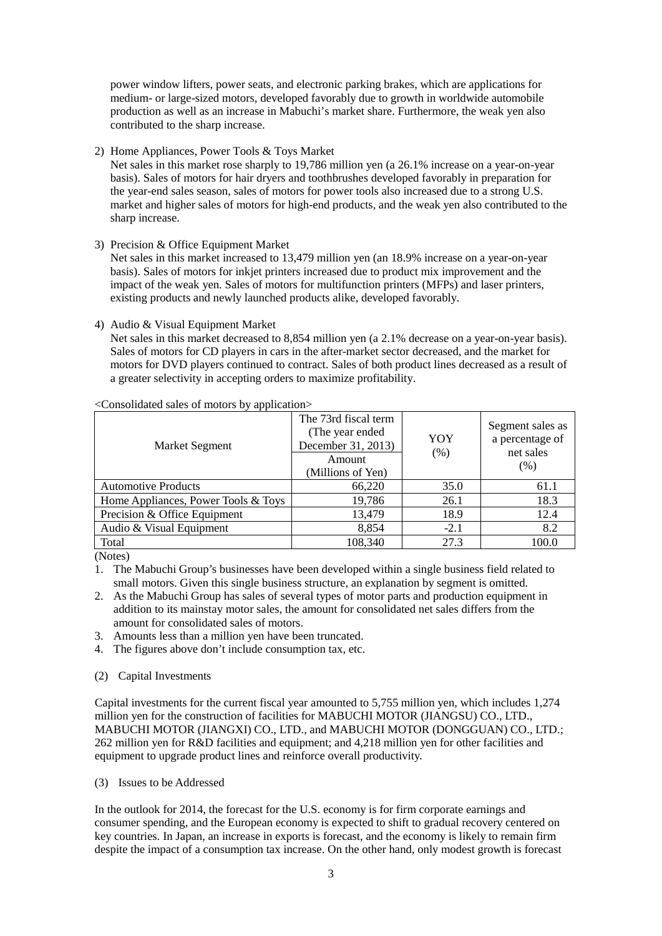power window lifters, power seats, and electronic parking brakes, which are applications for medium- or large-sized motors, developed favorably due to growth in worldwide automobile production as well as an increase in Mabuchi's market share. Furthermore, the weak yen also contributed to the sharp increase.

2) Home Appliances, Power Tools & Toys Market

Net sales in this market rose sharply to 19,786 million yen (a 26.1% increase on a year-on-year basis). Sales of motors for hair dryers and toothbrushes developed favorably in preparation for the year-end sales season, sales of motors for power tools also increased due to a strong U.S. market and higher sales of motors for high-end products, and the weak yen also contributed to the sharp increase.

3) Precision & Office Equipment Market

Net sales in this market increased to 13,479 million yen (an 18.9% increase on a year-on-year basis). Sales of motors for inkjet printers increased due to product mix improvement and the impact of the weak yen. Sales of motors for multifunction printers (MFPs) and laser printers, existing products and newly launched products alike, developed favorably.

# 4) Audio & Visual Equipment Market

Net sales in this market decreased to 8,854 million yen (a 2.1% decrease on a year-on-year basis). Sales of motors for CD players in cars in the after-market sector decreased, and the market for motors for DVD players continued to contract. Sales of both product lines decreased as a result of a greater selectivity in accepting orders to maximize profitability.

| <b>Market Segment</b>               | The 73rd fiscal term<br>(The year ended<br>December 31, 2013)<br>Amount<br>(Millions of Yen) | YOY<br>(% ) | Segment sales as<br>a percentage of<br>net sales<br>(% ) |
|-------------------------------------|----------------------------------------------------------------------------------------------|-------------|----------------------------------------------------------|
| <b>Automotive Products</b>          | 66,220                                                                                       | 35.0        | 61.1                                                     |
| Home Appliances, Power Tools & Toys | 19,786                                                                                       | 26.1        | 18.3                                                     |
| Precision & Office Equipment        | 13,479                                                                                       | 18.9        | 12.4                                                     |
| Audio & Visual Equipment            | 8,854                                                                                        | $-2.1$      | 8.2                                                      |
| Total                               | 108,340                                                                                      | 27.3        | 100.0                                                    |

### <Consolidated sales of motors by application>

(Notes)

1. The Mabuchi Group's businesses have been developed within a single business field related to small motors. Given this single business structure, an explanation by segment is omitted.

- 2. As the Mabuchi Group has sales of several types of motor parts and production equipment in addition to its mainstay motor sales, the amount for consolidated net sales differs from the amount for consolidated sales of motors.
- 3. Amounts less than a million yen have been truncated.
- 4. The figures above don't include consumption tax, etc.
- (2) Capital Investments

Capital investments for the current fiscal year amounted to 5,755 million yen, which includes 1,274 million yen for the construction of facilities for MABUCHI MOTOR (JIANGSU) CO., LTD., MABUCHI MOTOR (JIANGXI) CO., LTD., and MABUCHI MOTOR (DONGGUAN) CO., LTD.; 262 million yen for R&D facilities and equipment; and 4,218 million yen for other facilities and equipment to upgrade product lines and reinforce overall productivity.

(3) Issues to be Addressed

In the outlook for 2014, the forecast for the U.S. economy is for firm corporate earnings and consumer spending, and the European economy is expected to shift to gradual recovery centered on key countries. In Japan, an increase in exports is forecast, and the economy is likely to remain firm despite the impact of a consumption tax increase. On the other hand, only modest growth is forecast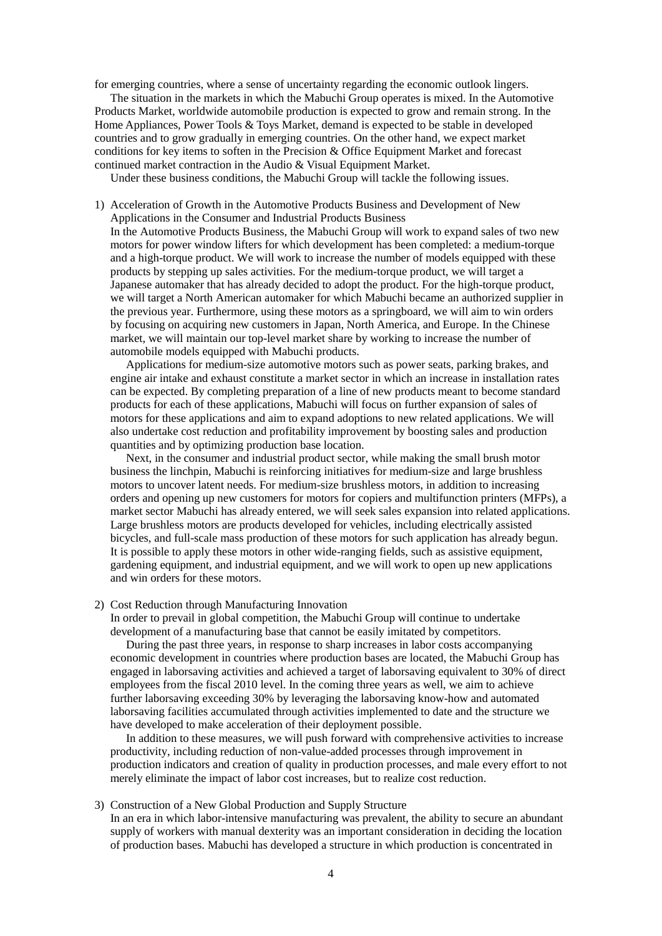for emerging countries, where a sense of uncertainty regarding the economic outlook lingers.

The situation in the markets in which the Mabuchi Group operates is mixed. In the Automotive Products Market, worldwide automobile production is expected to grow and remain strong. In the Home Appliances, Power Tools & Toys Market, demand is expected to be stable in developed countries and to grow gradually in emerging countries. On the other hand, we expect market conditions for key items to soften in the Precision & Office Equipment Market and forecast continued market contraction in the Audio & Visual Equipment Market.

Under these business conditions, the Mabuchi Group will tackle the following issues.

1) Acceleration of Growth in the Automotive Products Business and Development of New Applications in the Consumer and Industrial Products Business In the Automotive Products Business, the Mabuchi Group will work to expand sales of two new motors for power window lifters for which development has been completed: a medium-torque and a high-torque product. We will work to increase the number of models equipped with these products by stepping up sales activities. For the medium-torque product, we will target a Japanese automaker that has already decided to adopt the product. For the high-torque product, we will target a North American automaker for which Mabuchi became an authorized supplier in the previous year. Furthermore, using these motors as a springboard, we will aim to win orders by focusing on acquiring new customers in Japan, North America, and Europe. In the Chinese market, we will maintain our top-level market share by working to increase the number of automobile models equipped with Mabuchi products.

Applications for medium-size automotive motors such as power seats, parking brakes, and engine air intake and exhaust constitute a market sector in which an increase in installation rates can be expected. By completing preparation of a line of new products meant to become standard products for each of these applications, Mabuchi will focus on further expansion of sales of motors for these applications and aim to expand adoptions to new related applications. We will also undertake cost reduction and profitability improvement by boosting sales and production quantities and by optimizing production base location.

Next, in the consumer and industrial product sector, while making the small brush motor business the linchpin, Mabuchi is reinforcing initiatives for medium-size and large brushless motors to uncover latent needs. For medium-size brushless motors, in addition to increasing orders and opening up new customers for motors for copiers and multifunction printers (MFPs), a market sector Mabuchi has already entered, we will seek sales expansion into related applications. Large brushless motors are products developed for vehicles, including electrically assisted bicycles, and full-scale mass production of these motors for such application has already begun. It is possible to apply these motors in other wide-ranging fields, such as assistive equipment, gardening equipment, and industrial equipment, and we will work to open up new applications and win orders for these motors.

### 2) Cost Reduction through Manufacturing Innovation

In order to prevail in global competition, the Mabuchi Group will continue to undertake development of a manufacturing base that cannot be easily imitated by competitors.

During the past three years, in response to sharp increases in labor costs accompanying economic development in countries where production bases are located, the Mabuchi Group has engaged in laborsaving activities and achieved a target of laborsaving equivalent to 30% of direct employees from the fiscal 2010 level. In the coming three years as well, we aim to achieve further laborsaving exceeding 30% by leveraging the laborsaving know-how and automated laborsaving facilities accumulated through activities implemented to date and the structure we have developed to make acceleration of their deployment possible.

In addition to these measures, we will push forward with comprehensive activities to increase productivity, including reduction of non-value-added processes through improvement in production indicators and creation of quality in production processes, and male every effort to not merely eliminate the impact of labor cost increases, but to realize cost reduction.

#### 3) Construction of a New Global Production and Supply Structure

In an era in which labor-intensive manufacturing was prevalent, the ability to secure an abundant supply of workers with manual dexterity was an important consideration in deciding the location of production bases. Mabuchi has developed a structure in which production is concentrated in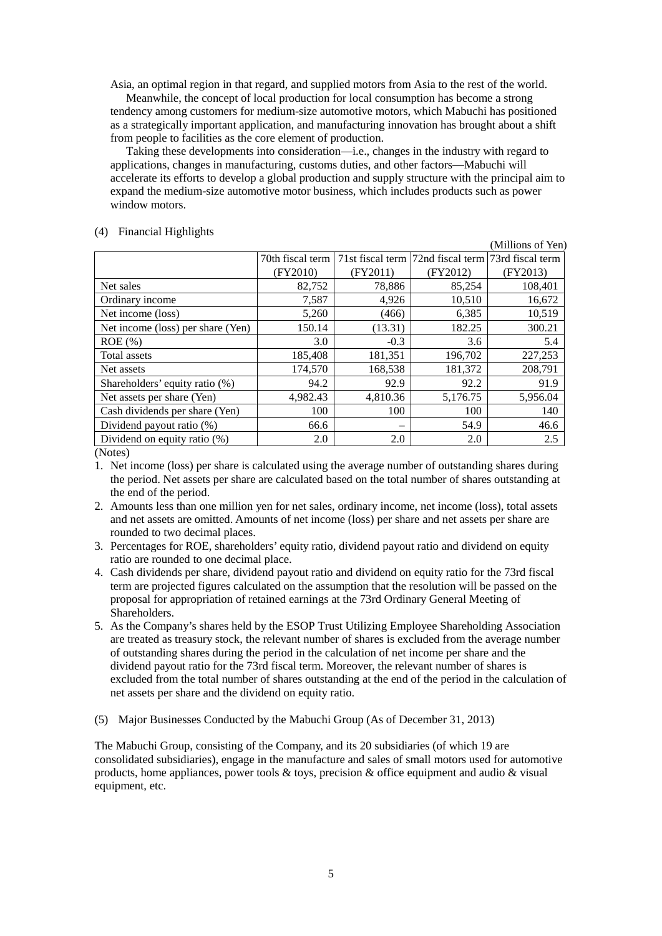Asia, an optimal region in that regard, and supplied motors from Asia to the rest of the world.

Meanwhile, the concept of local production for local consumption has become a strong tendency among customers for medium-size automotive motors, which Mabuchi has positioned as a strategically important application, and manufacturing innovation has brought about a shift from people to facilities as the core element of production.

Taking these developments into consideration—i.e., changes in the industry with regard to applications, changes in manufacturing, customs duties, and other factors—Mabuchi will accelerate its efforts to develop a global production and supply structure with the principal aim to expand the medium-size automotive motor business, which includes products such as power window motors.

| (4) |  | <b>Financial Highlights</b> |
|-----|--|-----------------------------|
|-----|--|-----------------------------|

|                                   |          |          |                                                                           | (Millions of Yen) |
|-----------------------------------|----------|----------|---------------------------------------------------------------------------|-------------------|
|                                   |          |          | 70th fiscal term   71st fiscal term   72nd fiscal term   73rd fiscal term |                   |
|                                   | (FY2010) | (FY2011) | (FY2012)                                                                  | (FY2013)          |
| Net sales                         | 82,752   | 78,886   | 85,254                                                                    | 108,401           |
| Ordinary income                   | 7,587    | 4,926    | 10,510                                                                    | 16,672            |
| Net income (loss)                 | 5,260    | (466)    | 6,385                                                                     | 10,519            |
| Net income (loss) per share (Yen) | 150.14   | (13.31)  | 182.25                                                                    | 300.21            |
| $ROE$ (%)                         | 3.0      | $-0.3$   | 3.6                                                                       | 5.4               |
| Total assets                      | 185,408  | 181,351  | 196,702                                                                   | 227,253           |
| Net assets                        | 174,570  | 168,538  | 181,372                                                                   | 208,791           |
| Shareholders' equity ratio (%)    | 94.2     | 92.9     | 92.2                                                                      | 91.9              |
| Net assets per share (Yen)        | 4,982.43 | 4,810.36 | 5,176.75                                                                  | 5,956.04          |
| Cash dividends per share (Yen)    | 100      | 100      | 100                                                                       | 140               |
| Dividend payout ratio (%)         | 66.6     |          | 54.9                                                                      | 46.6              |
| Dividend on equity ratio (%)      | 2.0      | 2.0      | 2.0                                                                       | 2.5               |

(Notes)

- 1. Net income (loss) per share is calculated using the average number of outstanding shares during the period. Net assets per share are calculated based on the total number of shares outstanding at the end of the period.
- 2. Amounts less than one million yen for net sales, ordinary income, net income (loss), total assets and net assets are omitted. Amounts of net income (loss) per share and net assets per share are rounded to two decimal places.
- 3. Percentages for ROE, shareholders' equity ratio, dividend payout ratio and dividend on equity ratio are rounded to one decimal place.
- 4. Cash dividends per share, dividend payout ratio and dividend on equity ratio for the 73rd fiscal term are projected figures calculated on the assumption that the resolution will be passed on the proposal for appropriation of retained earnings at the 73rd Ordinary General Meeting of Shareholders.
- 5. As the Company's shares held by the ESOP Trust Utilizing Employee Shareholding Association are treated as treasury stock, the relevant number of shares is excluded from the average number of outstanding shares during the period in the calculation of net income per share and the dividend payout ratio for the 73rd fiscal term. Moreover, the relevant number of shares is excluded from the total number of shares outstanding at the end of the period in the calculation of net assets per share and the dividend on equity ratio.
- (5) Major Businesses Conducted by the Mabuchi Group (As of December 31, 2013)

The Mabuchi Group, consisting of the Company, and its 20 subsidiaries (of which 19 are consolidated subsidiaries), engage in the manufacture and sales of small motors used for automotive products, home appliances, power tools  $\&$  toys, precision  $\&$  office equipment and audio  $\&$  visual equipment, etc.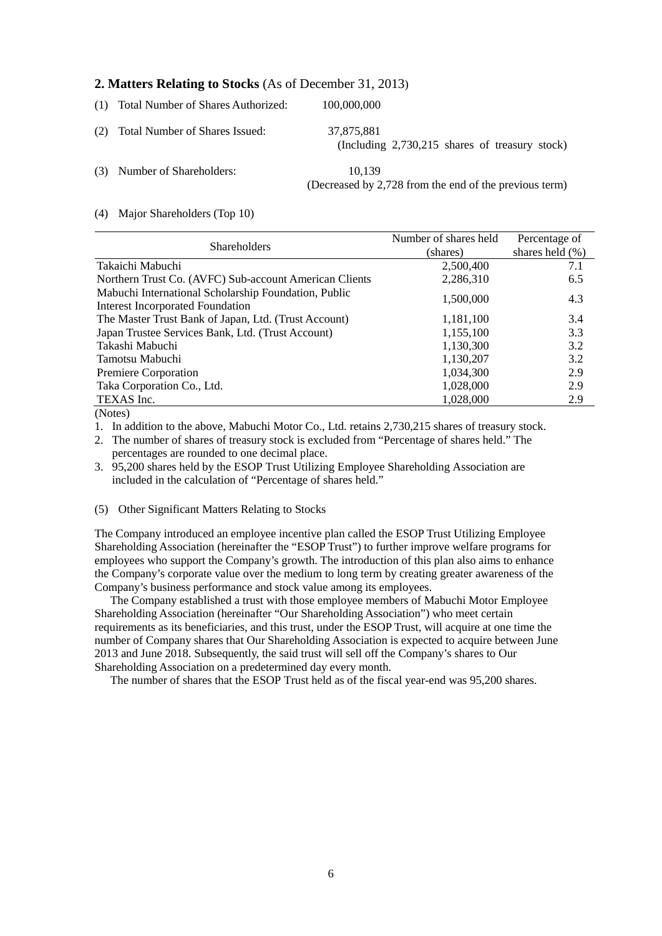# **2. Matters Relating to Stocks** (As of December 31, 2013)

|     | (1) Total Number of Shares Authorized: | 100,000,000                                                      |
|-----|----------------------------------------|------------------------------------------------------------------|
|     | (2) Total Number of Shares Issued:     | 37,875,881<br>(Including $2,730,215$ shares of treasury stock)   |
| (3) | Number of Shareholders:                | 10.139<br>(Decreased by 2,728 from the end of the previous term) |

### (4) Major Shareholders (Top 10)

|                                                                                                 | Number of shares held | Percentage of       |
|-------------------------------------------------------------------------------------------------|-----------------------|---------------------|
| <b>Shareholders</b>                                                                             | (shares)              | shares held $(\% )$ |
| Takaichi Mabuchi                                                                                | 2,500,400             | 7.1                 |
| Northern Trust Co. (AVFC) Sub-account American Clients                                          | 2,286,310             | 6.5                 |
| Mabuchi International Scholarship Foundation, Public<br><b>Interest Incorporated Foundation</b> | 1,500,000             | 4.3                 |
| The Master Trust Bank of Japan, Ltd. (Trust Account)                                            | 1,181,100             | 3.4                 |
| Japan Trustee Services Bank, Ltd. (Trust Account)                                               | 1,155,100             | 3.3                 |
| Takashi Mabuchi                                                                                 | 1,130,300             | 3.2                 |
| Tamotsu Mabuchi                                                                                 | 1,130,207             | 3.2                 |
| Premiere Corporation                                                                            | 1,034,300             | 2.9                 |
| Taka Corporation Co., Ltd.                                                                      | 1,028,000             | 2.9                 |
| TEXAS Inc.                                                                                      | 1,028,000             | 2.9                 |
| $\Delta$ $\sim$                                                                                 |                       |                     |

(Notes)

1. In addition to the above, Mabuchi Motor Co., Ltd. retains 2,730,215 shares of treasury stock.

2. The number of shares of treasury stock is excluded from "Percentage of shares held." The percentages are rounded to one decimal place.

3. 95,200 shares held by the ESOP Trust Utilizing Employee Shareholding Association are included in the calculation of "Percentage of shares held."

## (5) Other Significant Matters Relating to Stocks

The Company introduced an employee incentive plan called the ESOP Trust Utilizing Employee Shareholding Association (hereinafter the "ESOP Trust") to further improve welfare programs for employees who support the Company's growth. The introduction of this plan also aims to enhance the Company's corporate value over the medium to long term by creating greater awareness of the Company's business performance and stock value among its employees.

The Company established a trust with those employee members of Mabuchi Motor Employee Shareholding Association (hereinafter "Our Shareholding Association") who meet certain requirements as its beneficiaries, and this trust, under the ESOP Trust, will acquire at one time the number of Company shares that Our Shareholding Association is expected to acquire between June 2013 and June 2018. Subsequently, the said trust will sell off the Company's shares to Our Shareholding Association on a predetermined day every month.

The number of shares that the ESOP Trust held as of the fiscal year-end was 95,200 shares.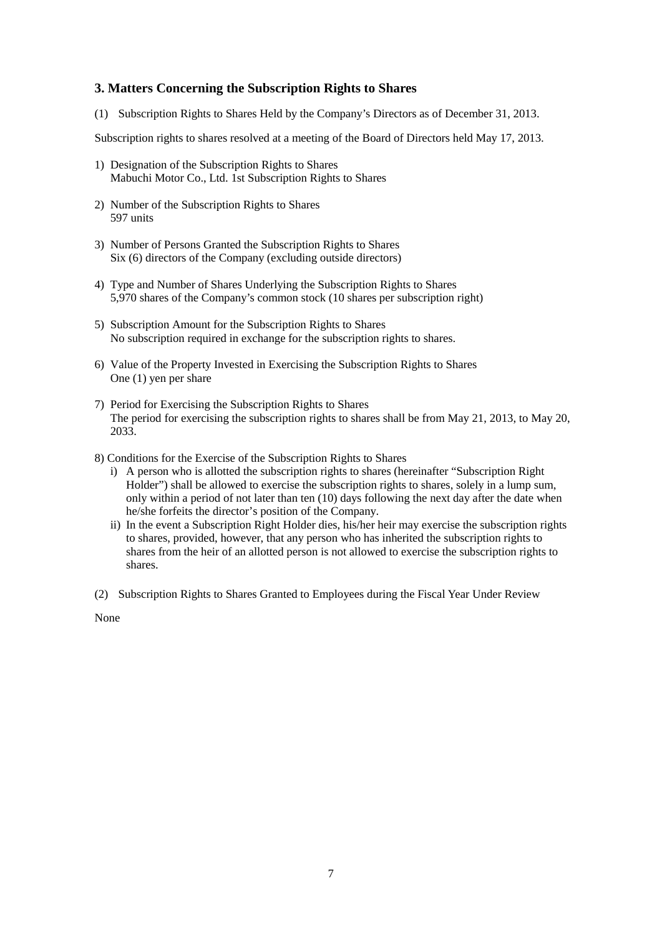# **3. Matters Concerning the Subscription Rights to Shares**

(1) Subscription Rights to Shares Held by the Company's Directors as of December 31, 2013.

Subscription rights to shares resolved at a meeting of the Board of Directors held May 17, 2013.

- 1) Designation of the Subscription Rights to Shares Mabuchi Motor Co., Ltd. 1st Subscription Rights to Shares
- 2) Number of the Subscription Rights to Shares 597 units
- 3) Number of Persons Granted the Subscription Rights to Shares Six (6) directors of the Company (excluding outside directors)
- 4) Type and Number of Shares Underlying the Subscription Rights to Shares 5,970 shares of the Company's common stock (10 shares per subscription right)
- 5) Subscription Amount for the Subscription Rights to Shares No subscription required in exchange for the subscription rights to shares.
- 6) Value of the Property Invested in Exercising the Subscription Rights to Shares One (1) yen per share
- 7) Period for Exercising the Subscription Rights to Shares The period for exercising the subscription rights to shares shall be from May 21, 2013, to May 20, 2033.
- 8) Conditions for the Exercise of the Subscription Rights to Shares
	- i) A person who is allotted the subscription rights to shares (hereinafter "Subscription Right Holder") shall be allowed to exercise the subscription rights to shares, solely in a lump sum, only within a period of not later than ten (10) days following the next day after the date when he/she forfeits the director's position of the Company.
	- ii) In the event a Subscription Right Holder dies, his/her heir may exercise the subscription rights to shares, provided, however, that any person who has inherited the subscription rights to shares from the heir of an allotted person is not allowed to exercise the subscription rights to shares.
- (2) Subscription Rights to Shares Granted to Employees during the Fiscal Year Under Review

None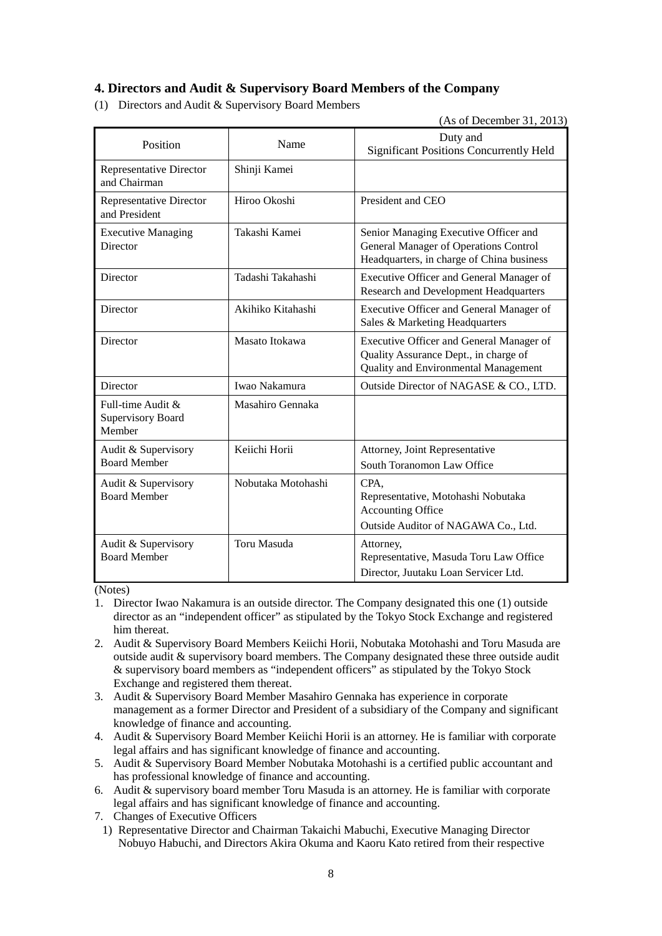# **4. Directors and Audit & Supervisory Board Members of the Company**

(1) Directors and Audit & Supervisory Board Members

(As of December 31, 2013)

| Position                                                   | Name               | Duty and<br><b>Significant Positions Concurrently Held</b>                                                                  |
|------------------------------------------------------------|--------------------|-----------------------------------------------------------------------------------------------------------------------------|
| Representative Director<br>and Chairman                    | Shinji Kamei       |                                                                                                                             |
| <b>Representative Director</b><br>and President            | Hiroo Okoshi       | President and CEO                                                                                                           |
| <b>Executive Managing</b><br>Director                      | Takashi Kamei      | Senior Managing Executive Officer and<br>General Manager of Operations Control<br>Headquarters, in charge of China business |
| Director                                                   | Tadashi Takahashi  | Executive Officer and General Manager of<br><b>Research and Development Headquarters</b>                                    |
| Director                                                   | Akihiko Kitahashi  | Executive Officer and General Manager of<br>Sales & Marketing Headquarters                                                  |
| Director                                                   | Masato Itokawa     | Executive Officer and General Manager of<br>Quality Assurance Dept., in charge of<br>Quality and Environmental Management   |
| Director                                                   | Iwao Nakamura      | Outside Director of NAGASE & CO., LTD.                                                                                      |
| Full-time Audit $\&$<br><b>Supervisory Board</b><br>Member | Masahiro Gennaka   |                                                                                                                             |
| Audit & Supervisory<br><b>Board Member</b>                 | Keiichi Horii      | Attorney, Joint Representative<br>South Toranomon Law Office                                                                |
| Audit & Supervisory<br><b>Board Member</b>                 | Nobutaka Motohashi | CPA.<br>Representative, Motohashi Nobutaka<br><b>Accounting Office</b><br>Outside Auditor of NAGAWA Co., Ltd.               |
| Audit & Supervisory<br><b>Board Member</b>                 | Toru Masuda        | Attorney,<br>Representative, Masuda Toru Law Office<br>Director, Juutaku Loan Servicer Ltd.                                 |

(Notes)

- 1. Director Iwao Nakamura is an outside director. The Company designated this one (1) outside director as an "independent officer" as stipulated by the Tokyo Stock Exchange and registered him thereat.
- 2. Audit & Supervisory Board Members Keiichi Horii, Nobutaka Motohashi and Toru Masuda are outside audit & supervisory board members. The Company designated these three outside audit & supervisory board members as "independent officers" as stipulated by the Tokyo Stock Exchange and registered them thereat.
- 3. Audit & Supervisory Board Member Masahiro Gennaka has experience in corporate management as a former Director and President of a subsidiary of the Company and significant knowledge of finance and accounting.
- 4. Audit & Supervisory Board Member Keiichi Horii is an attorney. He is familiar with corporate legal affairs and has significant knowledge of finance and accounting.
- 5. Audit & Supervisory Board Member Nobutaka Motohashi is a certified public accountant and has professional knowledge of finance and accounting.
- 6. Audit & supervisory board member Toru Masuda is an attorney. He is familiar with corporate legal affairs and has significant knowledge of finance and accounting.
- 7. Changes of Executive Officers
- 1) Representative Director and Chairman Takaichi Mabuchi, Executive Managing Director Nobuyo Habuchi, and Directors Akira Okuma and Kaoru Kato retired from their respective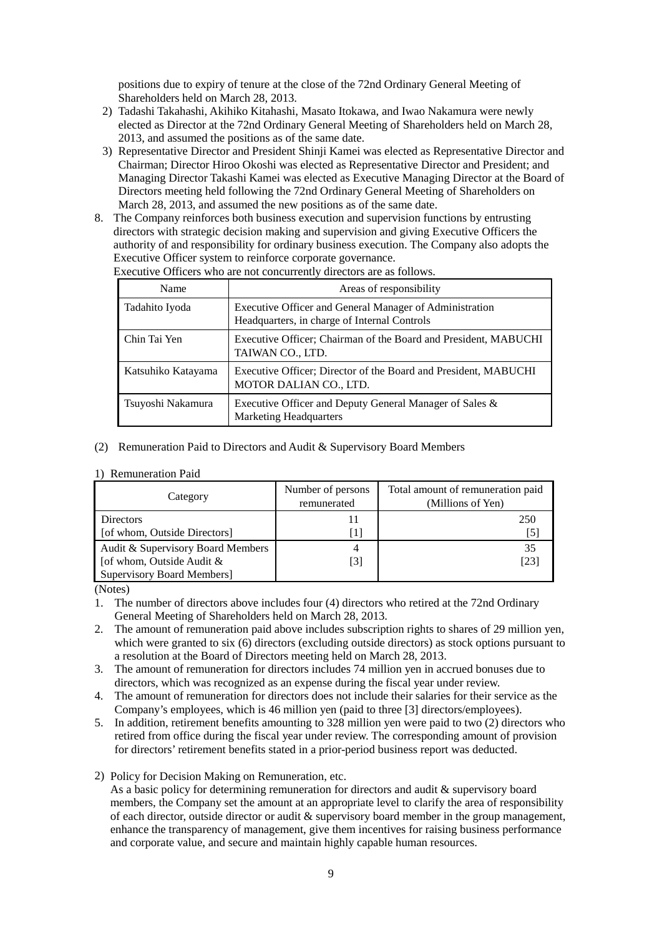positions due to expiry of tenure at the close of the 72nd Ordinary General Meeting of Shareholders held on March 28, 2013.

- 2) Tadashi Takahashi, Akihiko Kitahashi, Masato Itokawa, and Iwao Nakamura were newly elected as Director at the 72nd Ordinary General Meeting of Shareholders held on March 28, 2013, and assumed the positions as of the same date.
- 3) Representative Director and President Shinji Kamei was elected as Representative Director and Chairman; Director Hiroo Okoshi was elected as Representative Director and President; and Managing Director Takashi Kamei was elected as Executive Managing Director at the Board of Directors meeting held following the 72nd Ordinary General Meeting of Shareholders on March 28, 2013, and assumed the new positions as of the same date.
- 8. The Company reinforces both business execution and supervision functions by entrusting directors with strategic decision making and supervision and giving Executive Officers the authority of and responsibility for ordinary business execution. The Company also adopts the Executive Officer system to reinforce corporate governance.

| Name               | Areas of responsibility                                                                                 |
|--------------------|---------------------------------------------------------------------------------------------------------|
| Tadahito Iyoda     | Executive Officer and General Manager of Administration<br>Headquarters, in charge of Internal Controls |
| Chin Tai Yen       | Executive Officer; Chairman of the Board and President, MABUCHI<br>TAIWAN CO., LTD.                     |
| Katsuhiko Katayama | Executive Officer; Director of the Board and President, MABUCHI<br>MOTOR DALIAN CO., LTD.               |
| Tsuyoshi Nakamura  | Executive Officer and Deputy General Manager of Sales &<br><b>Marketing Headquarters</b>                |

Executive Officers who are not concurrently directors are as follows.

### (2) Remuneration Paid to Directors and Audit & Supervisory Board Members

### 1) Remuneration Paid

| Category                          | Number of persons<br>remunerated | Total amount of remuneration paid<br>(Millions of Yen) |
|-----------------------------------|----------------------------------|--------------------------------------------------------|
| <b>Directors</b>                  |                                  | 250                                                    |
| [of whom, Outside Directors]      | Η.                               | [5]                                                    |
| Audit & Supervisory Board Members | 4                                | 35                                                     |
| [of whom, Outside Audit &         | [3]                              | [23]                                                   |
| <b>Supervisory Board Members]</b> |                                  |                                                        |

(Notes)

- 2. The amount of remuneration paid above includes subscription rights to shares of 29 million yen, which were granted to six (6) directors (excluding outside directors) as stock options pursuant to a resolution at the Board of Directors meeting held on March 28, 2013.
- 3. The amount of remuneration for directors includes 74 million yen in accrued bonuses due to directors, which was recognized as an expense during the fiscal year under review.
- 4. The amount of remuneration for directors does not include their salaries for their service as the Company's employees, which is 46 million yen (paid to three [3] directors/employees).
- 5. In addition, retirement benefits amounting to 328 million yen were paid to two (2) directors who retired from office during the fiscal year under review. The corresponding amount of provision for directors' retirement benefits stated in a prior-period business report was deducted.
- 2) Policy for Decision Making on Remuneration, etc.

As a basic policy for determining remuneration for directors and audit & supervisory board members, the Company set the amount at an appropriate level to clarify the area of responsibility of each director, outside director or audit & supervisory board member in the group management, enhance the transparency of management, give them incentives for raising business performance and corporate value, and secure and maintain highly capable human resources.

<sup>1.</sup> The number of directors above includes four (4) directors who retired at the 72nd Ordinary General Meeting of Shareholders held on March 28, 2013.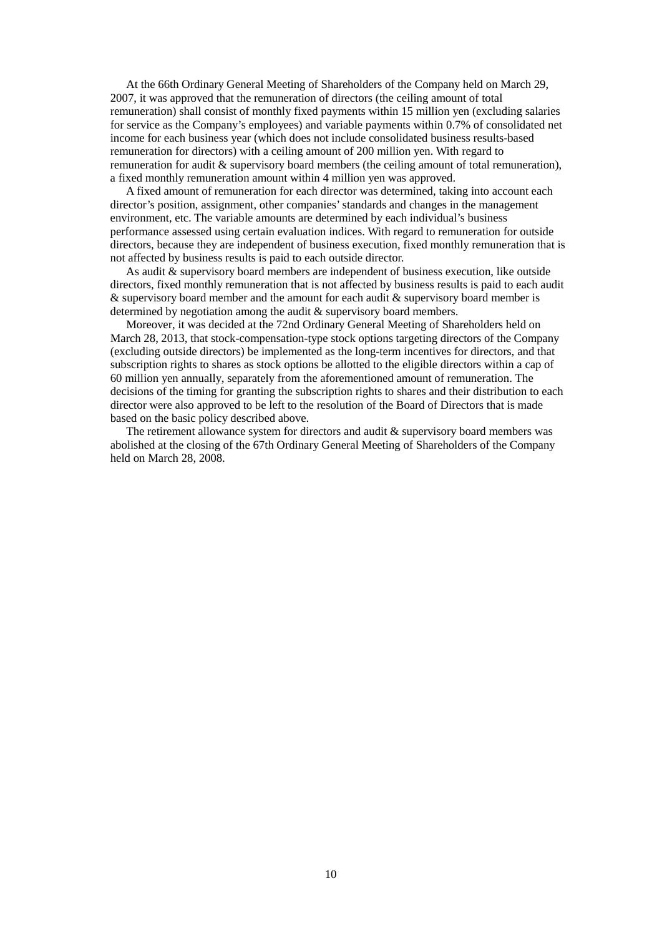At the 66th Ordinary General Meeting of Shareholders of the Company held on March 29, 2007, it was approved that the remuneration of directors (the ceiling amount of total remuneration) shall consist of monthly fixed payments within 15 million yen (excluding salaries for service as the Company's employees) and variable payments within 0.7% of consolidated net income for each business year (which does not include consolidated business results-based remuneration for directors) with a ceiling amount of 200 million yen. With regard to remuneration for audit & supervisory board members (the ceiling amount of total remuneration), a fixed monthly remuneration amount within 4 million yen was approved.

A fixed amount of remuneration for each director was determined, taking into account each director's position, assignment, other companies' standards and changes in the management environment, etc. The variable amounts are determined by each individual's business performance assessed using certain evaluation indices. With regard to remuneration for outside directors, because they are independent of business execution, fixed monthly remuneration that is not affected by business results is paid to each outside director.

As audit & supervisory board members are independent of business execution, like outside directors, fixed monthly remuneration that is not affected by business results is paid to each audit  $\&$  supervisory board member and the amount for each audit  $\&$  supervisory board member is determined by negotiation among the audit & supervisory board members.

Moreover, it was decided at the 72nd Ordinary General Meeting of Shareholders held on March 28, 2013, that stock-compensation-type stock options targeting directors of the Company (excluding outside directors) be implemented as the long-term incentives for directors, and that subscription rights to shares as stock options be allotted to the eligible directors within a cap of 60 million yen annually, separately from the aforementioned amount of remuneration. The decisions of the timing for granting the subscription rights to shares and their distribution to each director were also approved to be left to the resolution of the Board of Directors that is made based on the basic policy described above.

The retirement allowance system for directors and audit & supervisory board members was abolished at the closing of the 67th Ordinary General Meeting of Shareholders of the Company held on March 28, 2008.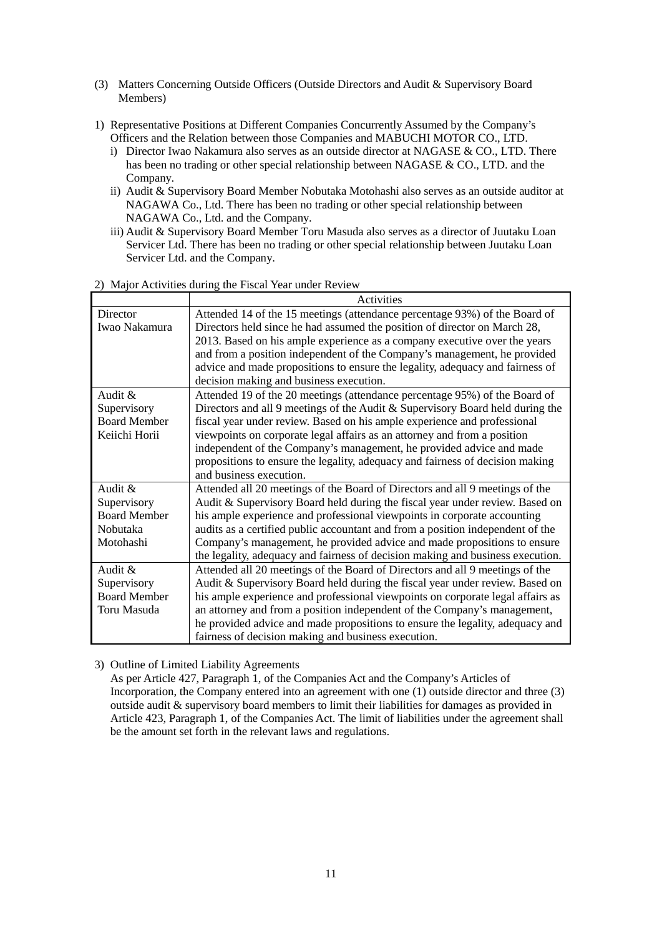- (3) Matters Concerning Outside Officers (Outside Directors and Audit & Supervisory Board Members)
- 1) Representative Positions at Different Companies Concurrently Assumed by the Company's Officers and the Relation between those Companies and MABUCHI MOTOR CO., LTD.
	- i) Director Iwao Nakamura also serves as an outside director at NAGASE & CO., LTD. There has been no trading or other special relationship between NAGASE & CO., LTD. and the Company.
	- ii) Audit & Supervisory Board Member Nobutaka Motohashi also serves as an outside auditor at NAGAWA Co., Ltd. There has been no trading or other special relationship between NAGAWA Co., Ltd. and the Company.
	- iii) Audit & Supervisory Board Member Toru Masuda also serves as a director of Juutaku Loan Servicer Ltd. There has been no trading or other special relationship between Juutaku Loan Servicer Ltd. and the Company.

|                     | Activities                                                                     |
|---------------------|--------------------------------------------------------------------------------|
| Director            | Attended 14 of the 15 meetings (attendance percentage 93%) of the Board of     |
| Iwao Nakamura       | Directors held since he had assumed the position of director on March 28,      |
|                     | 2013. Based on his ample experience as a company executive over the years      |
|                     | and from a position independent of the Company's management, he provided       |
|                     | advice and made propositions to ensure the legality, adequacy and fairness of  |
|                     | decision making and business execution.                                        |
| Audit &             | Attended 19 of the 20 meetings (attendance percentage 95%) of the Board of     |
| Supervisory         | Directors and all 9 meetings of the Audit & Supervisory Board held during the  |
| <b>Board Member</b> | fiscal year under review. Based on his ample experience and professional       |
| Keiichi Horii       | viewpoints on corporate legal affairs as an attorney and from a position       |
|                     | independent of the Company's management, he provided advice and made           |
|                     | propositions to ensure the legality, adequacy and fairness of decision making  |
|                     | and business execution.                                                        |
| Audit &             | Attended all 20 meetings of the Board of Directors and all 9 meetings of the   |
| Supervisory         | Audit & Supervisory Board held during the fiscal year under review. Based on   |
| <b>Board Member</b> | his ample experience and professional viewpoints in corporate accounting       |
| Nobutaka            | audits as a certified public accountant and from a position independent of the |
| Motohashi           | Company's management, he provided advice and made propositions to ensure       |
|                     | the legality, adequacy and fairness of decision making and business execution. |
| Audit &             | Attended all 20 meetings of the Board of Directors and all 9 meetings of the   |
| Supervisory         | Audit & Supervisory Board held during the fiscal year under review. Based on   |
| <b>Board Member</b> | his ample experience and professional viewpoints on corporate legal affairs as |
| Toru Masuda         | an attorney and from a position independent of the Company's management,       |
|                     | he provided advice and made propositions to ensure the legality, adequacy and  |
|                     | fairness of decision making and business execution.                            |

# 2) Major Activities during the Fiscal Year under Review

3) Outline of Limited Liability Agreements

As per Article 427, Paragraph 1, of the Companies Act and the Company's Articles of Incorporation, the Company entered into an agreement with one (1) outside director and three (3) outside audit & supervisory board members to limit their liabilities for damages as provided in Article 423, Paragraph 1, of the Companies Act. The limit of liabilities under the agreement shall be the amount set forth in the relevant laws and regulations.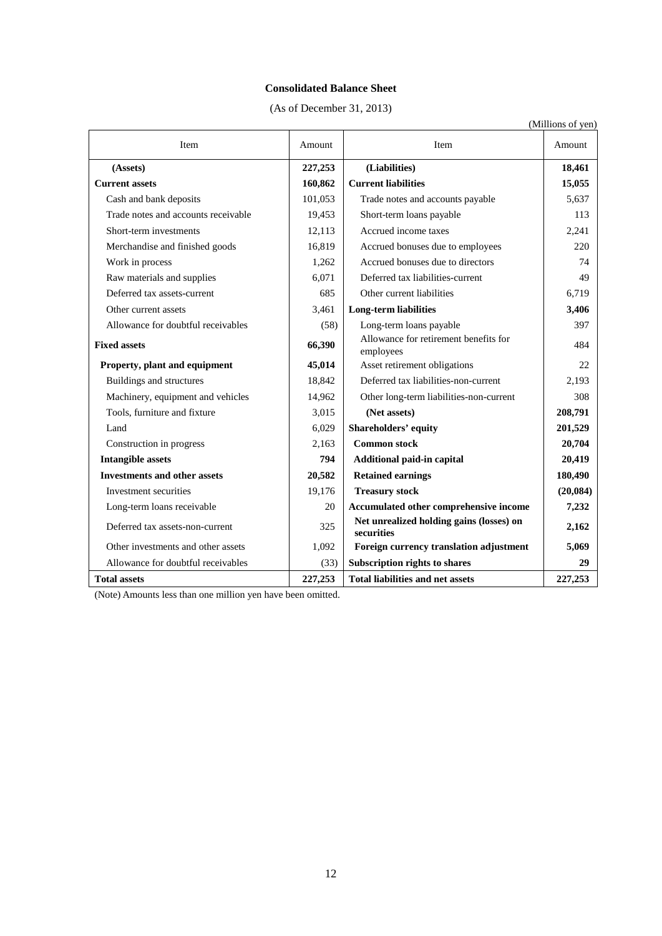## **Consolidated Balance Sheet**

(As of December 31, 2013)

|                                     |         |                                                        | (Millions of yen) |
|-------------------------------------|---------|--------------------------------------------------------|-------------------|
| Item                                | Amount  | Item                                                   | Amount            |
| (Assets)                            | 227,253 | (Liabilities)                                          | 18,461            |
| <b>Current assets</b>               | 160,862 | <b>Current liabilities</b>                             | 15,055            |
| Cash and bank deposits              | 101,053 | Trade notes and accounts payable                       | 5,637             |
| Trade notes and accounts receivable | 19,453  | Short-term loans payable                               | 113               |
| Short-term investments              | 12,113  | Accrued income taxes                                   | 2,241             |
| Merchandise and finished goods      | 16,819  | Accrued bonuses due to employees                       | 220               |
| Work in process                     | 1,262   | Accrued bonuses due to directors                       | 74                |
| Raw materials and supplies          | 6,071   | Deferred tax liabilities-current                       | 49                |
| Deferred tax assets-current         | 685     | Other current liabilities                              | 6,719             |
| Other current assets                | 3,461   | <b>Long-term liabilities</b>                           | 3,406             |
| Allowance for doubtful receivables  | (58)    | Long-term loans payable                                | 397               |
| <b>Fixed assets</b>                 | 66,390  | Allowance for retirement benefits for<br>employees     | 484               |
| Property, plant and equipment       | 45,014  | Asset retirement obligations                           | 22                |
| Buildings and structures            | 18,842  | Deferred tax liabilities-non-current                   | 2,193             |
| Machinery, equipment and vehicles   | 14,962  | Other long-term liabilities-non-current                | 308               |
| Tools, furniture and fixture        | 3,015   | (Net assets)                                           | 208,791           |
| Land                                | 6,029   | Shareholders' equity                                   | 201,529           |
| Construction in progress            | 2,163   | <b>Common stock</b>                                    | 20,704            |
| <b>Intangible assets</b>            | 794     | <b>Additional paid-in capital</b>                      | 20,419            |
| <b>Investments and other assets</b> | 20,582  | <b>Retained earnings</b>                               | 180,490           |
| Investment securities               | 19,176  | <b>Treasury stock</b>                                  | (20, 084)         |
| Long-term loans receivable          | 20      | Accumulated other comprehensive income                 | 7,232             |
| Deferred tax assets-non-current     | 325     | Net unrealized holding gains (losses) on<br>securities | 2,162             |
| Other investments and other assets  | 1,092   | Foreign currency translation adjustment                | 5,069             |
| Allowance for doubtful receivables  | (33)    | Subscription rights to shares                          | 29                |
| <b>Total assets</b>                 | 227,253 | <b>Total liabilities and net assets</b>                | 227,253           |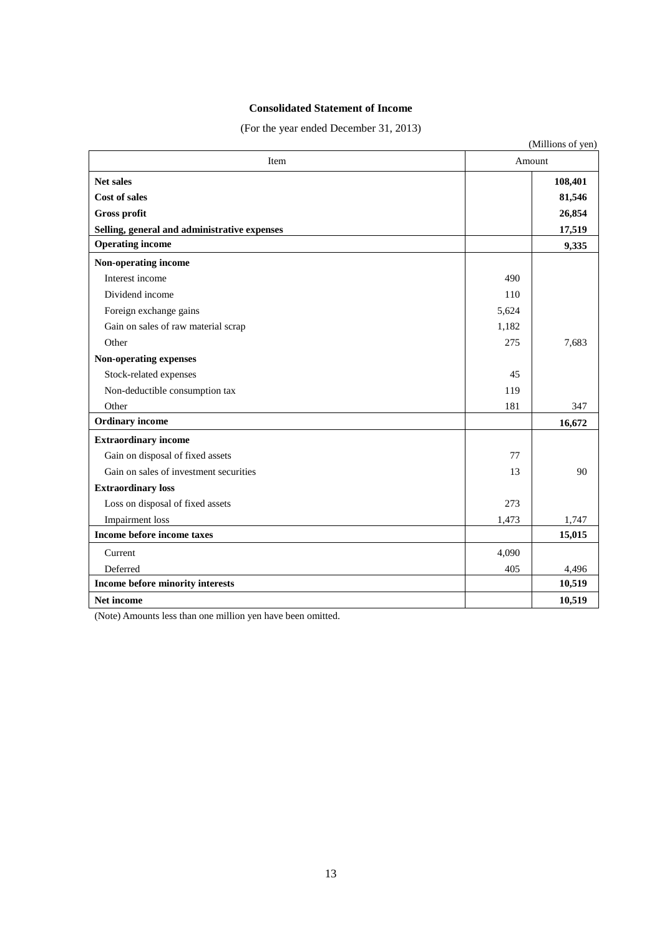# **Consolidated Statement of Income**

(For the year ended December 31, 2013)

|                                              |       | (Millions of yen) |  |
|----------------------------------------------|-------|-------------------|--|
| Item                                         |       | Amount            |  |
| <b>Net sales</b><br><b>Cost of sales</b>     |       | 108,401<br>81,546 |  |
| Gross profit                                 |       | 26,854            |  |
| Selling, general and administrative expenses |       | 17,519            |  |
| <b>Operating income</b>                      |       | 9,335             |  |
| Non-operating income                         |       |                   |  |
| Interest income                              | 490   |                   |  |
| Dividend income                              | 110   |                   |  |
| Foreign exchange gains                       | 5,624 |                   |  |
| Gain on sales of raw material scrap          | 1,182 |                   |  |
| Other                                        | 275   | 7,683             |  |
| Non-operating expenses                       |       |                   |  |
| Stock-related expenses                       | 45    |                   |  |
| Non-deductible consumption tax               | 119   |                   |  |
| Other                                        | 181   | 347               |  |
| <b>Ordinary</b> income                       |       | 16,672            |  |
| <b>Extraordinary income</b>                  |       |                   |  |
| Gain on disposal of fixed assets             | 77    |                   |  |
| Gain on sales of investment securities       | 13    | 90                |  |
| <b>Extraordinary loss</b>                    |       |                   |  |
| Loss on disposal of fixed assets             | 273   |                   |  |
| <b>Impairment</b> loss                       | 1,473 | 1,747             |  |
| Income before income taxes                   |       | 15,015            |  |
| Current                                      | 4.090 |                   |  |
| Deferred                                     | 405   | 4,496             |  |
| Income before minority interests             |       | 10,519            |  |
| <b>Net income</b>                            |       | 10,519            |  |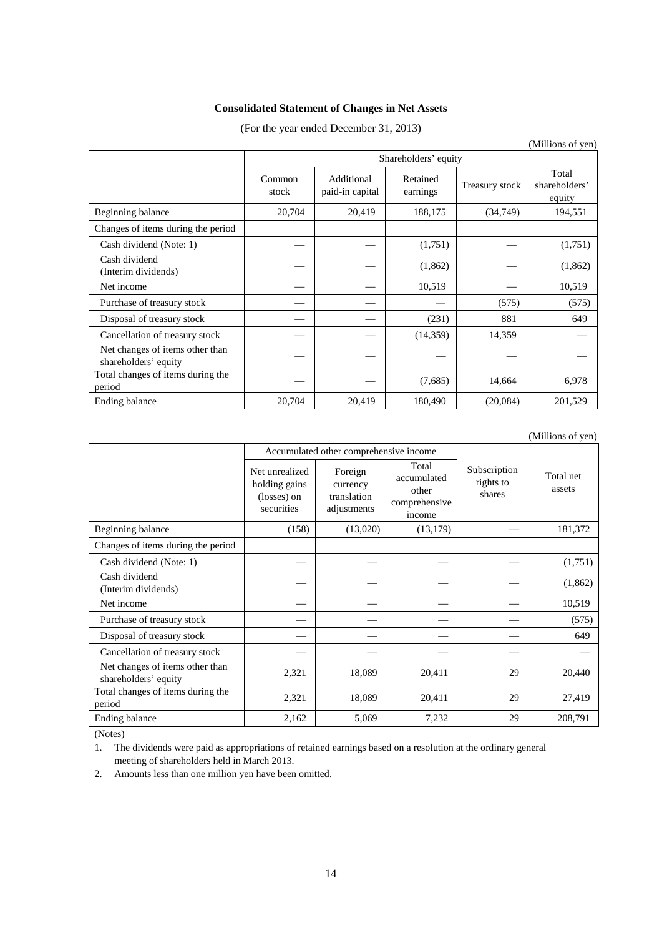# **Consolidated Statement of Changes in Net Assets**

(For the year ended December 31, 2013)

|                                                         |                      |                               |                      |                | (Millions of yen)                |
|---------------------------------------------------------|----------------------|-------------------------------|----------------------|----------------|----------------------------------|
|                                                         | Shareholders' equity |                               |                      |                |                                  |
|                                                         | Common<br>stock      | Additional<br>paid-in capital | Retained<br>earnings | Treasury stock | Total<br>shareholders'<br>equity |
| Beginning balance                                       | 20,704               | 20,419                        | 188,175              | (34,749)       | 194,551                          |
| Changes of items during the period                      |                      |                               |                      |                |                                  |
| Cash dividend (Note: 1)                                 |                      |                               | (1,751)              |                | (1,751)                          |
| Cash dividend<br>(Interim dividends)                    |                      |                               | (1,862)              |                | (1,862)                          |
| Net income                                              |                      |                               | 10,519               |                | 10,519                           |
| Purchase of treasury stock                              |                      |                               |                      | (575)          | (575)                            |
| Disposal of treasury stock                              |                      |                               | (231)                | 881            | 649                              |
| Cancellation of treasury stock                          |                      |                               | (14, 359)            | 14,359         |                                  |
| Net changes of items other than<br>shareholders' equity |                      |                               |                      |                |                                  |
| Total changes of items during the<br>period             |                      |                               | (7,685)              | 14,664         | 6,978                            |
| Ending balance                                          | 20,704               | 20,419                        | 180,490              | (20,084)       | 201,529                          |

|                                                         |                                                              |                                                   |                                                          |                                     | (Millions of yen)   |
|---------------------------------------------------------|--------------------------------------------------------------|---------------------------------------------------|----------------------------------------------------------|-------------------------------------|---------------------|
|                                                         |                                                              | Accumulated other comprehensive income            |                                                          |                                     |                     |
|                                                         | Net unrealized<br>holding gains<br>(losses) on<br>securities | Foreign<br>currency<br>translation<br>adjustments | Total<br>accumulated<br>other<br>comprehensive<br>income | Subscription<br>rights to<br>shares | Total net<br>assets |
| Beginning balance                                       | (158)                                                        | (13,020)                                          | (13, 179)                                                |                                     | 181,372             |
| Changes of items during the period                      |                                                              |                                                   |                                                          |                                     |                     |
| Cash dividend (Note: 1)                                 |                                                              |                                                   |                                                          |                                     | (1,751)             |
| Cash dividend<br>(Interim dividends)                    |                                                              |                                                   |                                                          |                                     | (1,862)             |
| Net income                                              |                                                              |                                                   |                                                          |                                     | 10,519              |
| Purchase of treasury stock                              |                                                              |                                                   |                                                          |                                     | (575)               |
| Disposal of treasury stock                              |                                                              |                                                   |                                                          |                                     | 649                 |
| Cancellation of treasury stock                          |                                                              |                                                   |                                                          |                                     |                     |
| Net changes of items other than<br>shareholders' equity | 2,321                                                        | 18,089                                            | 20,411                                                   | 29                                  | 20,440              |
| Total changes of items during the<br>period             | 2,321                                                        | 18,089                                            | 20,411                                                   | 29                                  | 27,419              |
| Ending balance                                          | 2,162                                                        | 5,069                                             | 7,232                                                    | 29                                  | 208,791             |

(Notes)

1. The dividends were paid as appropriations of retained earnings based on a resolution at the ordinary general meeting of shareholders held in March 2013.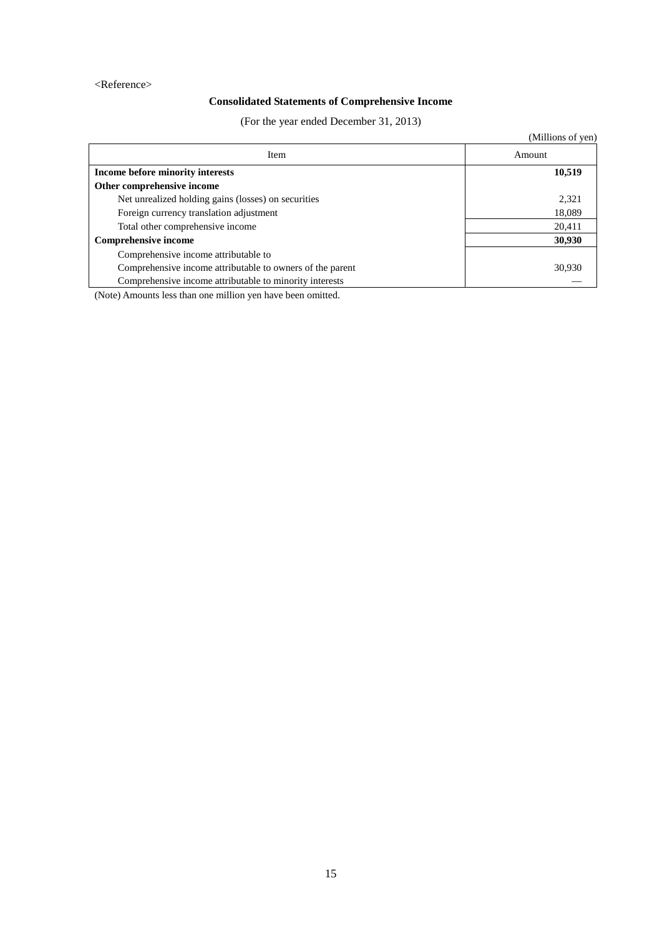### <Reference>

# **Consolidated Statements of Comprehensive Income**

(For the year ended December 31, 2013)

|                                                           | (Millions of yen) |
|-----------------------------------------------------------|-------------------|
| Item                                                      | Amount            |
| Income before minority interests                          | 10,519            |
| Other comprehensive income                                |                   |
| Net unrealized holding gains (losses) on securities       | 2,321             |
| Foreign currency translation adjustment                   | 18,089            |
| Total other comprehensive income                          | 20,411            |
| <b>Comprehensive income</b>                               | 30,930            |
| Comprehensive income attributable to                      |                   |
| Comprehensive income attributable to owners of the parent | 30,930            |
| Comprehensive income attributable to minority interests   |                   |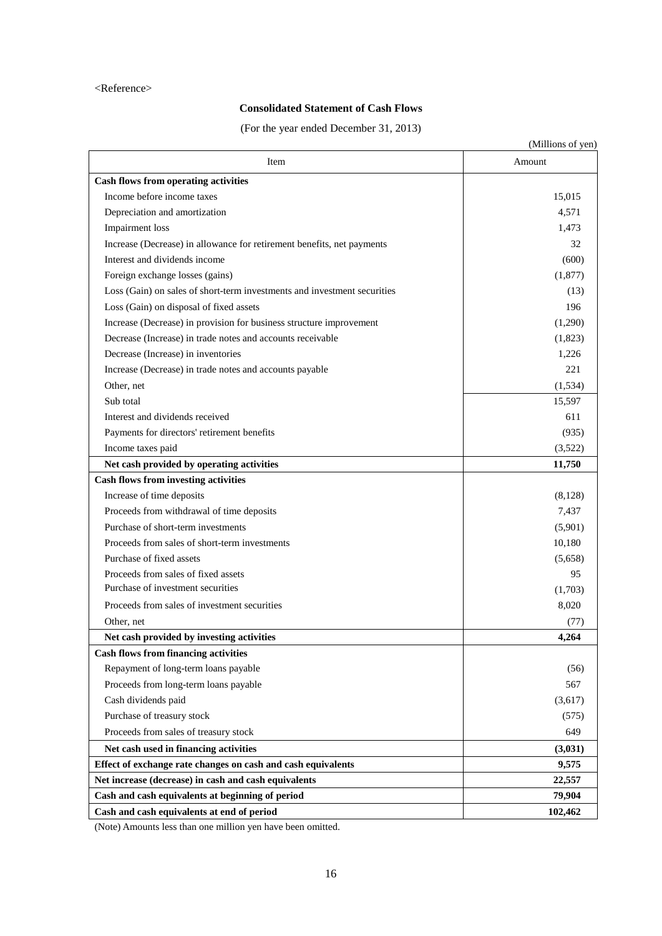### <Reference>

# **Consolidated Statement of Cash Flows**

(For the year ended December 31, 2013)

|                                                                          | (Millions of yen) |
|--------------------------------------------------------------------------|-------------------|
| Item                                                                     | Amount            |
| <b>Cash flows from operating activities</b>                              |                   |
| Income before income taxes                                               | 15,015            |
| Depreciation and amortization                                            | 4,571             |
| Impairment loss                                                          | 1,473             |
| Increase (Decrease) in allowance for retirement benefits, net payments   | 32                |
| Interest and dividends income                                            | (600)             |
| Foreign exchange losses (gains)                                          | (1, 877)          |
| Loss (Gain) on sales of short-term investments and investment securities | (13)              |
| Loss (Gain) on disposal of fixed assets                                  | 196               |
| Increase (Decrease) in provision for business structure improvement      | (1,290)           |
| Decrease (Increase) in trade notes and accounts receivable               | (1,823)           |
| Decrease (Increase) in inventories                                       | 1,226             |
| Increase (Decrease) in trade notes and accounts payable                  | 221               |
| Other, net                                                               | (1,534)           |
| Sub total                                                                | 15,597            |
| Interest and dividends received                                          | 611               |
| Payments for directors' retirement benefits                              | (935)             |
| Income taxes paid                                                        | (3,522)           |
| Net cash provided by operating activities                                | 11,750            |
| <b>Cash flows from investing activities</b>                              |                   |
| Increase of time deposits                                                | (8,128)           |
| Proceeds from withdrawal of time deposits                                | 7,437             |
| Purchase of short-term investments                                       | (5,901)           |
| Proceeds from sales of short-term investments                            | 10,180            |
| Purchase of fixed assets                                                 | (5,658)           |
| Proceeds from sales of fixed assets                                      | 95                |
| Purchase of investment securities                                        | (1,703)           |
| Proceeds from sales of investment securities                             | 8,020             |
| Other, net                                                               | (77)              |
| Net cash provided by investing activities                                | 4,264             |
| <b>Cash flows from financing activities</b>                              |                   |
| Repayment of long-term loans payable                                     | (56)              |
| Proceeds from long-term loans payable                                    | 567               |
| Cash dividends paid                                                      | (3,617)           |
| Purchase of treasury stock                                               | (575)             |
| Proceeds from sales of treasury stock                                    | 649               |
| Net cash used in financing activities                                    | (3,031)           |
| Effect of exchange rate changes on cash and cash equivalents             | 9,575             |
| Net increase (decrease) in cash and cash equivalents                     | 22,557            |
| Cash and cash equivalents at beginning of period                         | 79,904            |
| Cash and cash equivalents at end of period                               | 102,462           |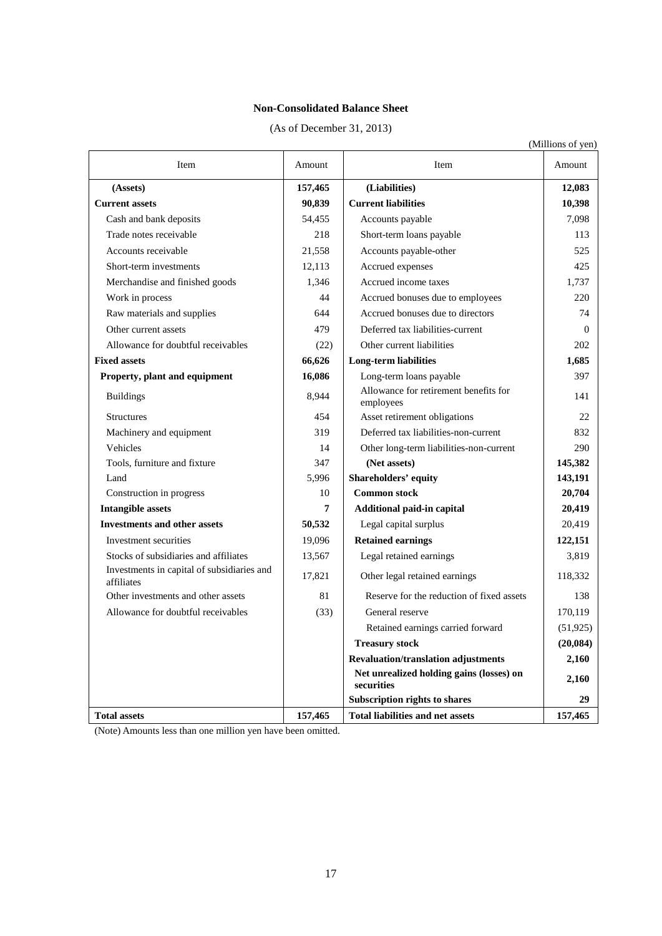# **Non-Consolidated Balance Sheet**

| (As of December 31, 2013) |  |  |
|---------------------------|--|--|
|---------------------------|--|--|

|                                                          |                 |                                                        | (Millions of yen) |
|----------------------------------------------------------|-----------------|--------------------------------------------------------|-------------------|
| Item                                                     | Amount          | Item                                                   | Amount            |
| (Assets)                                                 | 157,465         | (Liabilities)                                          | 12,083            |
| <b>Current assets</b>                                    | 90,839          | <b>Current liabilities</b>                             | 10,398            |
| Cash and bank deposits                                   | 54,455          | Accounts payable                                       | 7,098             |
| Trade notes receivable                                   | 218             | Short-term loans payable                               | 113               |
| Accounts receivable                                      | 21,558          | Accounts payable-other                                 | 525               |
| Short-term investments                                   | 12,113          | Accrued expenses                                       | 425               |
| Merchandise and finished goods                           | 1,346           | Accrued income taxes                                   | 1,737             |
| Work in process                                          | 44              | Accrued bonuses due to employees                       | 220               |
| Raw materials and supplies                               | 644             | Accrued bonuses due to directors                       | 74                |
| Other current assets                                     | 479             | Deferred tax liabilities-current                       | 0                 |
| Allowance for doubtful receivables                       | (22)            | Other current liabilities                              | 202               |
| <b>Fixed assets</b>                                      | 66,626          | Long-term liabilities                                  | 1,685             |
| Property, plant and equipment                            | 16,086          | Long-term loans payable                                | 397               |
| <b>Buildings</b>                                         | 8,944           | Allowance for retirement benefits for<br>employees     | 141               |
| <b>Structures</b>                                        | 454             | Asset retirement obligations                           | 22                |
| Machinery and equipment                                  | 319             | Deferred tax liabilities-non-current                   | 832               |
| Vehicles                                                 | 14              | Other long-term liabilities-non-current                | 290               |
| Tools, furniture and fixture                             | 347             | (Net assets)                                           | 145,382           |
| Land                                                     | 5,996           | Shareholders' equity                                   | 143,191           |
| Construction in progress                                 | 10              | <b>Common stock</b>                                    | 20,704            |
| <b>Intangible assets</b>                                 | $7\phantom{.0}$ | Additional paid-in capital                             | 20,419            |
| <b>Investments and other assets</b>                      | 50,532          | Legal capital surplus                                  | 20,419            |
| Investment securities                                    | 19,096          | <b>Retained earnings</b>                               | 122,151           |
| Stocks of subsidiaries and affiliates                    | 13,567          | Legal retained earnings                                | 3,819             |
| Investments in capital of subsidiaries and<br>affiliates | 17,821          | Other legal retained earnings                          | 118,332           |
| Other investments and other assets                       | 81              | Reserve for the reduction of fixed assets              | 138               |
| Allowance for doubtful receivables                       | (33)            | General reserve                                        | 170,119           |
|                                                          |                 | Retained earnings carried forward                      | (51, 925)         |
|                                                          |                 | <b>Treasury stock</b>                                  | (20, 084)         |
|                                                          |                 | <b>Revaluation/translation adjustments</b>             | 2,160             |
|                                                          |                 | Net unrealized holding gains (losses) on<br>securities | 2,160             |
|                                                          |                 | <b>Subscription rights to shares</b>                   | 29                |
| <b>Total assets</b>                                      | 157,465         | <b>Total liabilities and net assets</b>                | 157,465           |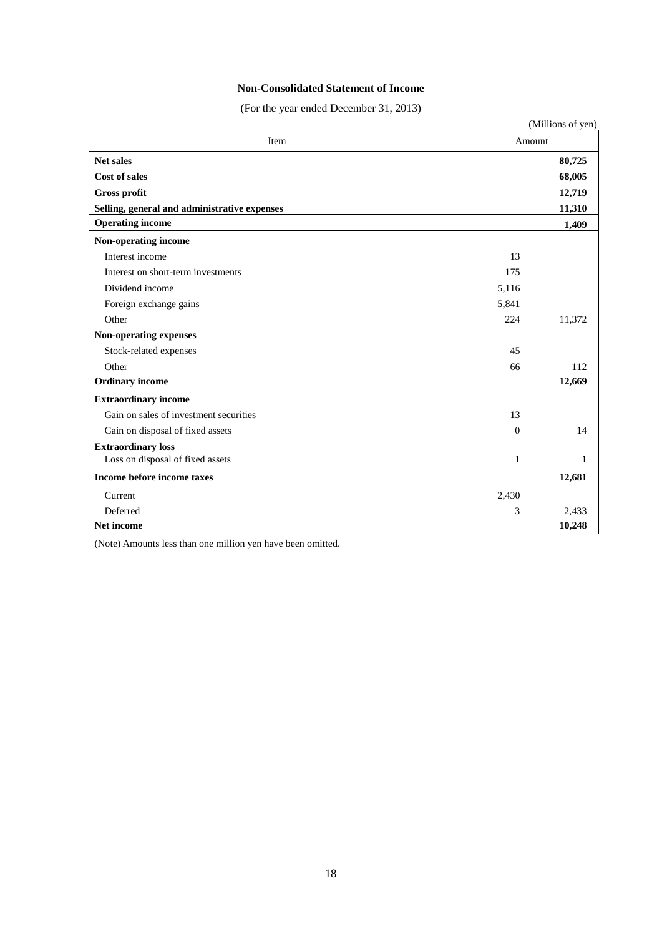## **Non-Consolidated Statement of Income**

(For the year ended December 31, 2013)

| (Millions of yen)                            |              |        |  |  |
|----------------------------------------------|--------------|--------|--|--|
| Item                                         |              | Amount |  |  |
| <b>Net sales</b>                             |              | 80,725 |  |  |
| <b>Cost of sales</b>                         |              | 68,005 |  |  |
| <b>Gross profit</b>                          |              | 12,719 |  |  |
| Selling, general and administrative expenses |              | 11,310 |  |  |
| <b>Operating income</b>                      |              | 1,409  |  |  |
| Non-operating income                         |              |        |  |  |
| Interest income                              | 13           |        |  |  |
| Interest on short-term investments           | 175          |        |  |  |
| Dividend income                              | 5,116        |        |  |  |
| Foreign exchange gains                       | 5,841        |        |  |  |
| Other                                        | 224          | 11,372 |  |  |
| Non-operating expenses                       |              |        |  |  |
| Stock-related expenses                       | 45           |        |  |  |
| Other                                        | 66           | 112    |  |  |
| <b>Ordinary income</b>                       |              | 12,669 |  |  |
| <b>Extraordinary income</b>                  |              |        |  |  |
| Gain on sales of investment securities       | 13           |        |  |  |
| Gain on disposal of fixed assets             | $\Omega$     | 14     |  |  |
| <b>Extraordinary loss</b>                    |              |        |  |  |
| Loss on disposal of fixed assets             | $\mathbf{1}$ | 1      |  |  |
| Income before income taxes                   |              | 12,681 |  |  |
| Current                                      | 2,430        |        |  |  |
| Deferred                                     | 3            | 2,433  |  |  |
| Net income                                   |              | 10,248 |  |  |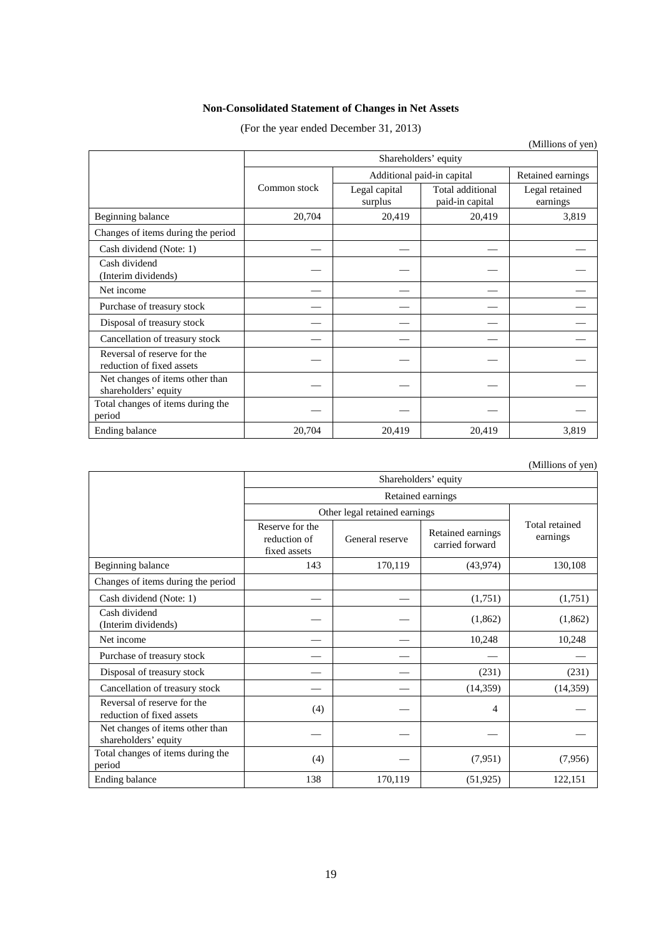# **Non-Consolidated Statement of Changes in Net Assets**

(For the year ended December 31, 2013)

|                                                          |                      |                            |                                     | (Millions of yen)          |  |
|----------------------------------------------------------|----------------------|----------------------------|-------------------------------------|----------------------------|--|
|                                                          | Shareholders' equity |                            |                                     |                            |  |
|                                                          |                      | Additional paid-in capital | Retained earnings                   |                            |  |
|                                                          | Common stock         | Legal capital<br>surplus   | Total additional<br>paid-in capital | Legal retained<br>earnings |  |
| Beginning balance                                        | 20,704               | 20,419                     | 20,419                              | 3,819                      |  |
| Changes of items during the period                       |                      |                            |                                     |                            |  |
| Cash dividend (Note: 1)                                  |                      |                            |                                     |                            |  |
| Cash dividend<br>(Interim dividends)                     |                      |                            |                                     |                            |  |
| Net income                                               |                      |                            |                                     |                            |  |
| Purchase of treasury stock                               |                      |                            |                                     |                            |  |
| Disposal of treasury stock                               |                      |                            |                                     |                            |  |
| Cancellation of treasury stock                           |                      |                            |                                     |                            |  |
| Reversal of reserve for the<br>reduction of fixed assets |                      |                            |                                     |                            |  |
| Net changes of items other than<br>shareholders' equity  |                      |                            |                                     |                            |  |
| Total changes of items during the<br>period              |                      |                            |                                     |                            |  |
| Ending balance                                           | 20,704               | 20,419                     | 20,419                              | 3,819                      |  |

(Millions of yen)

|                                                          | Shareholders' equity                            |                 |                                      |                            |  |  |
|----------------------------------------------------------|-------------------------------------------------|-----------------|--------------------------------------|----------------------------|--|--|
|                                                          | Retained earnings                               |                 |                                      |                            |  |  |
|                                                          | Other legal retained earnings                   |                 |                                      |                            |  |  |
|                                                          | Reserve for the<br>reduction of<br>fixed assets | General reserve | Retained earnings<br>carried forward | Total retained<br>earnings |  |  |
| Beginning balance                                        | 143                                             | 170,119         | (43, 974)                            | 130,108                    |  |  |
| Changes of items during the period                       |                                                 |                 |                                      |                            |  |  |
| Cash dividend (Note: 1)                                  |                                                 |                 | (1,751)                              | (1,751)                    |  |  |
| Cash dividend<br>(Interim dividends)                     |                                                 |                 | (1,862)                              | (1,862)                    |  |  |
| Net income                                               |                                                 |                 | 10,248                               | 10,248                     |  |  |
| Purchase of treasury stock                               |                                                 |                 |                                      |                            |  |  |
| Disposal of treasury stock                               |                                                 |                 | (231)                                | (231)                      |  |  |
| Cancellation of treasury stock                           |                                                 |                 | (14,359)                             | (14, 359)                  |  |  |
| Reversal of reserve for the<br>reduction of fixed assets | (4)                                             |                 | 4                                    |                            |  |  |
| Net changes of items other than<br>shareholders' equity  |                                                 |                 |                                      |                            |  |  |
| Total changes of items during the<br>period              | (4)                                             |                 | (7,951)                              | (7,956)                    |  |  |
| Ending balance                                           | 138                                             | 170,119         | (51, 925)                            | 122,151                    |  |  |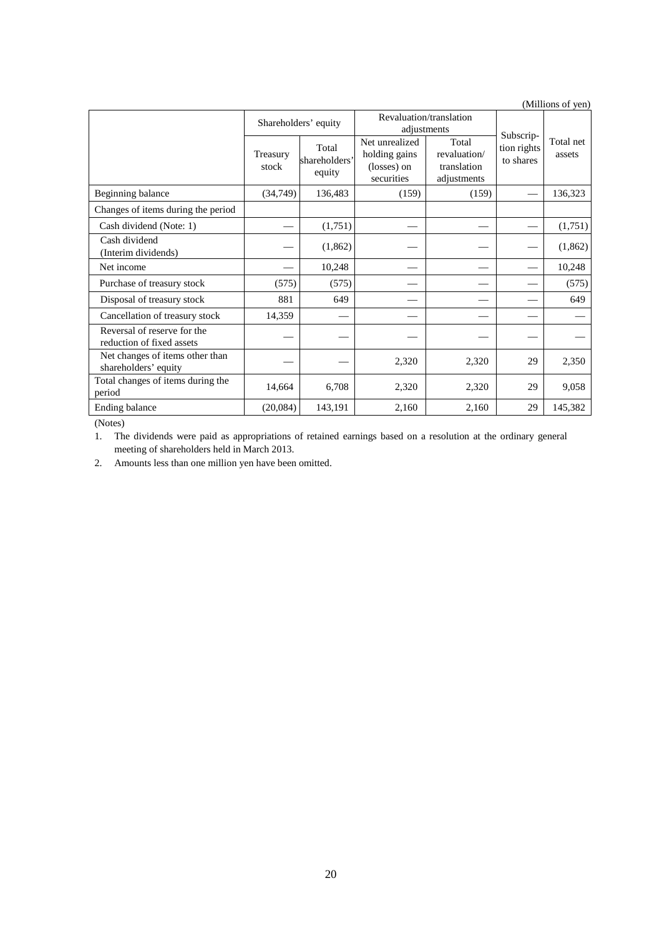| (Millions of yen)                                        |                      |                                  |                                                              |                                                     |                          |                     |  |
|----------------------------------------------------------|----------------------|----------------------------------|--------------------------------------------------------------|-----------------------------------------------------|--------------------------|---------------------|--|
|                                                          | Shareholders' equity |                                  | Revaluation/translation                                      |                                                     | Subscrip-                |                     |  |
|                                                          |                      |                                  | adjustments                                                  |                                                     |                          |                     |  |
|                                                          | Treasury<br>stock    | Total<br>shareholders'<br>equity | Net unrealized<br>holding gains<br>(losses) on<br>securities | Total<br>revaluation/<br>translation<br>adjustments | tion rights<br>to shares | Total net<br>assets |  |
| Beginning balance                                        | (34, 749)            | 136,483                          | (159)                                                        | (159)                                               |                          | 136,323             |  |
| Changes of items during the period                       |                      |                                  |                                                              |                                                     |                          |                     |  |
| Cash dividend (Note: 1)                                  |                      | (1,751)                          |                                                              |                                                     |                          | (1,751)             |  |
| Cash dividend<br>(Interim dividends)                     |                      | (1,862)                          |                                                              |                                                     |                          | (1,862)             |  |
| Net income                                               |                      | 10,248                           |                                                              |                                                     |                          | 10,248              |  |
| Purchase of treasury stock                               | (575)                | (575)                            |                                                              |                                                     |                          | (575)               |  |
| Disposal of treasury stock                               | 881                  | 649                              |                                                              |                                                     |                          | 649                 |  |
| Cancellation of treasury stock                           | 14,359               |                                  |                                                              |                                                     |                          |                     |  |
| Reversal of reserve for the<br>reduction of fixed assets |                      |                                  |                                                              |                                                     |                          |                     |  |
| Net changes of items other than<br>shareholders' equity  |                      |                                  | 2,320                                                        | 2,320                                               | 29                       | 2,350               |  |
| Total changes of items during the<br>period              | 14,664               | 6,708                            | 2,320                                                        | 2,320                                               | 29                       | 9,058               |  |
| Ending balance                                           | (20,084)             | 143,191                          | 2,160                                                        | 2.160                                               | 29                       | 145,382             |  |

(Notes)

1. The dividends were paid as appropriations of retained earnings based on a resolution at the ordinary general meeting of shareholders held in March 2013.